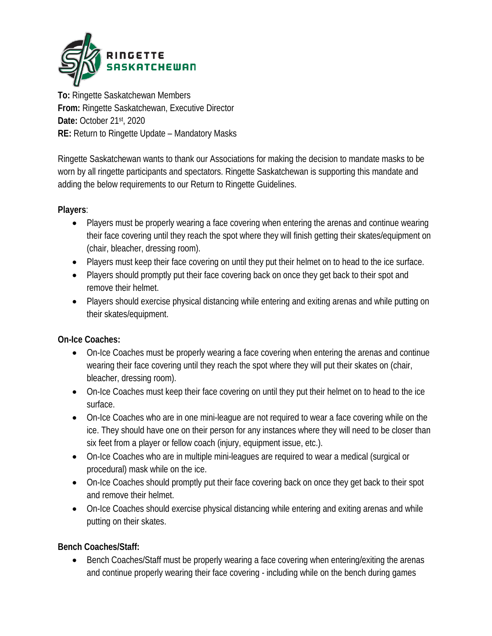

**To:** Ringette Saskatchewan Members **From:** Ringette Saskatchewan, Executive Director **Date:** October 21st, 2020 **RE:** Return to Ringette Update – Mandatory Masks

Ringette Saskatchewan wants to thank our Associations for making the decision to mandate masks to be worn by all ringette participants and spectators. Ringette Saskatchewan is supporting this mandate and adding the below requirements to our Return to Ringette Guidelines.

#### **Players**:

- Players must be properly wearing a face covering when entering the arenas and continue wearing their face covering until they reach the spot where they will finish getting their skates/equipment on (chair, bleacher, dressing room).
- Players must keep their face covering on until they put their helmet on to head to the ice surface.
- Players should promptly put their face covering back on once they get back to their spot and remove their helmet.
- Players should exercise physical distancing while entering and exiting arenas and while putting on their skates/equipment.

#### **On-Ice Coaches:**

- On-Ice Coaches must be properly wearing a face covering when entering the arenas and continue wearing their face covering until they reach the spot where they will put their skates on (chair, bleacher, dressing room).
- On-Ice Coaches must keep their face covering on until they put their helmet on to head to the ice surface.
- On-Ice Coaches who are in one mini-league are not required to wear a face covering while on the ice. They should have one on their person for any instances where they will need to be closer than six feet from a player or fellow coach (injury, equipment issue, etc.).
- On-Ice Coaches who are in multiple mini-leagues are required to wear a medical (surgical or procedural) mask while on the ice.
- On-Ice Coaches should promptly put their face covering back on once they get back to their spot and remove their helmet.
- On-Ice Coaches should exercise physical distancing while entering and exiting arenas and while putting on their skates.

**Bench Coaches/Staff:** 

• Bench Coaches/Staff must be properly wearing a face covering when entering/exiting the arenas and continue properly wearing their face covering - including while on the bench during games